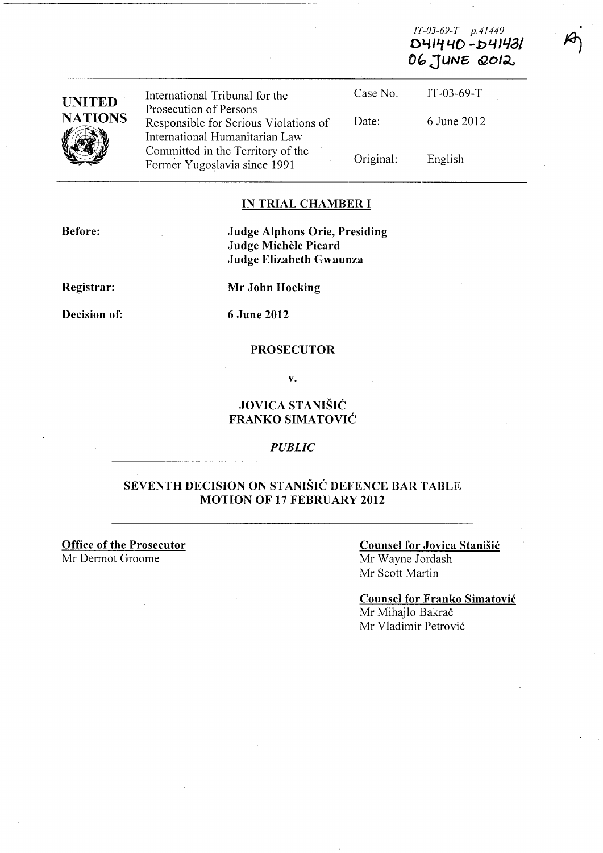|                                 |                                                                         |           | 06 TUNE QOI2 |  |
|---------------------------------|-------------------------------------------------------------------------|-----------|--------------|--|
| <b>UNITED</b><br><b>NATIONS</b> | International Tribunal for the<br>Prosecution of Persons                | Case No.  | $IT-03-69-T$ |  |
|                                 | Responsible for Serious Violations of<br>International Humanitarian Law | Date:     | 6 June 2012  |  |
|                                 | Committed in the Territory of the<br>Former Yugoslavia since 1991       | Original: | English      |  |

## **IN TRIAL CHAMBER I**

**Before:** 

**Judge Alphons Orie, Presiding Judge Michele Picard Judge Elizabeth Gwaunza** 

**Registrar:** 

**Decision of:** 

**6 June 2012** 

**Mr John Hocking** 

#### **PROSECUTOR**

**v.** 

### **JOVICA** STANIŠIĆ **FRANKO** SIMATOVIĆ

*PUBLIC* 

### **SEVENTH DECISION ON** STANIŠIĆ **DEFENCE BAR TABLE MOTION OF 17 FEBRUARY 2012**

**Office of the Prosecutor**  Mr Dermot Groome

### **Counsel for Jovica** Stanišić Mr Wayne Jordash Mr Scott Martin

**Counsel for Franko** Simatović Mr Mihajlo Bakrač Mr Vladimir Petrović

•  $\sim)$ 

*IT-03-69-T p.41440*  **OYILf40 -b41L/al**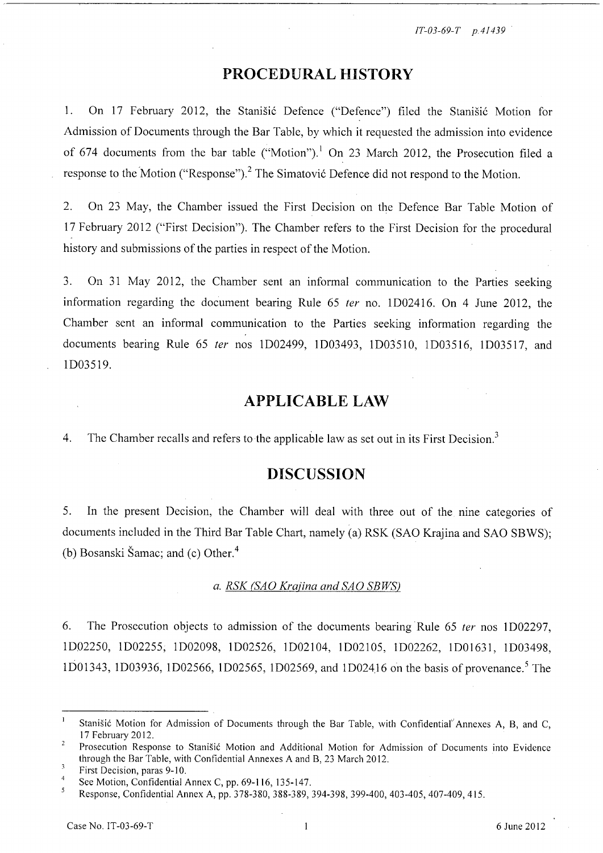*IT-03-69-T p.41439·* 

# **PROCEDURAL HISTORY**

1. On 17 February 2012, the Stanišić Defence ("Defence") filed the Stanišić Motion for Admission of Documents through the Bar Table, by which it requested the admission into evidence of 674 documents from the bar table ("Motion").<sup>1</sup> On 23 March 2012, the Prosecution filed a response to the Motion ("Response").<sup>2</sup> The Simatović Defence did not respond to the Motion.

2. On 23 May, the Chamber issued the First Decision on the Defence Bar Table Motion of 17 February 2012 ("First Decision"). The Chamber refers to the First Decision for the procedural history and submissions of the parties in respect of the Motion.

3. On 31 May 2012, the Chamber sent an informal communication to the Parties seeking information regarding the document bearing Rule 65 *ter* no. 1 D02416. On 4 June 2012, the Chamber sent an informal communication to the Parties seeking information regarding the documents bearing Rule 65 *ter* nos 1D02499, 1D03493, 1D03510, 1D03516, 1D03517, and 1D03519.

# **APPLICABLE LAW**

4. The Chamber recalls and refers to the applicable law as set out in its First Decision.<sup>3</sup>

# **DISCUSSION**

5. In the present Decision, the Chamber will deal with three out of the nine categories of documents included in the Third Bar Table Chart, namely (a) RSK (SAO Krajina and SAO SBWS); (b) Bosanski Šamac; and (c) Other. <sup>4</sup>

*a. RSK (SAO Krajina and SAO SBWS)* 

6. The Prosecution objects to admission of the documents bearing Rule 65 *ter* nos 1D02297, 1D02250, 1D02255, 1D02098, 1D02526, 1D02104, 1D02105, 1D02262, 1D01631, 1D03498, 1D01343, 1D03936, 1D02566, 1D02565, 1D02569, and 1D02416 on the basis of provenance.<sup>5</sup> The

 $\overline{1}$ Stanišić Motion for Admission of Documents through the Bar Table, with Confidential" Annexes A, B, and C, 17 February 2012.

 $\overline{2}$ Prosecution Response to Stanišić Motion and Additional Motion for Admission of Documents into Evidence through the Bar Table, with Confidential Annexes A and B, 23 March 2012.

 $\overline{3}$ First Decision, paras 9-10.

 $\overline{4}$ See Motion, Confidential Annex C, pp. 69-116, 135-147.

<sup>5</sup> Response, Confidential Annex A, pp. 378-380, 388-389, 394-398, 399-400, 403-405, 407-409, 415.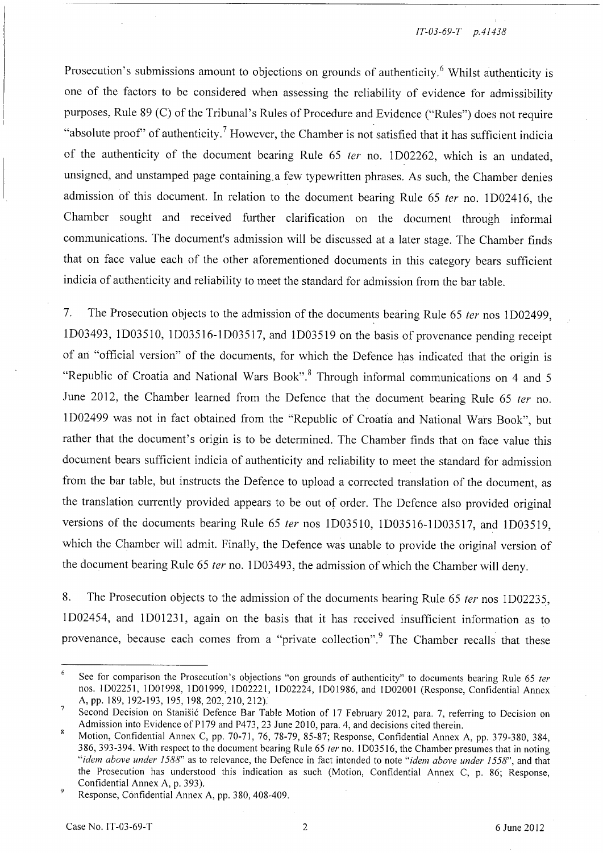#### *!T-03-69-T p.41438*

Prosecution's submissions amount to objections on grounds of authenticity.<sup>6</sup> Whilst authenticity is one of the factors to be considered when assessing the reliability of evidence for admissibility purposes, Rule 89 (C) of the Tribunal's Rules of Procedure and Evidence ("Rules") does not require "absolute proof" of authenticity.<sup>7</sup> However, the Chamber is not satisfied that it has sufficient indicia of the authenticity of the document bearing Rule 65 *ter* no. lD02262, which is an undated, unsigned, and unstamped page containing.a few typewritten phrases. As such, the Chamber denies admission of this document. In relation to the document bearing Rule 65 *ter* no. 1 D02416, the Chamber sought and received further clarification on the document through informal communications. The document's admission will be discussed at a later stage. The Chamber finds that on face value each of the other aforementioned documents in this category bears sufficient indicia of authenticity and reliability to meet the standard for admission from the bar table.

7. The Prosecution objects to the admission of the documents bearing Rule 65 *ter* nos lD02499, 1D03493, 1D03510, 1D03516-1D03517, and 1D03519 on the basis of provenance pending receipt of an "official version" of the documents, for which the Defence has indicated that the origin is "Republic of Croatia and National Wars Book".8 Through informal communications on 4 and 5 June 2012, the Chamber learned from the Defence that the document bearing Rule 65 *ter* no. 1D02499 was not in fact obtained from the "Republic of Croatia and National Wars Book", but rather that the document's origin is to be determined. The Chamber finds that on face value this document bears sufficient indicia of authenticity and reliability to meet the standard for admission from the bar table, but instructs the Defence to upload a corrected translation of the document, as the translation currently provided appears to be out of order. The Defence also provided original versions of the documents bearing Rule 65 *ter* nos lD03510, lD03516-1D03517, and lD03519, which the Chamber will admit. Finally, the Defence was unable to provide the original version of the document bearing Rule 65 *ter* no. lD03493, the admission of which the Chamber will deny.

8. The Prosecution objects to the admission of the documents bearing Rule 65 *ter* nos lD02235, 1 D02454, and 1 DO 1231, again on the basis that it has received insufficient information as to provenance, because each comes from a "private collection".<sup>9</sup> The Chamber recalls that these

<sup>6</sup>  See for comparison the Prosecution's objections "on grounds of authenticity" to documents bearing Rule 65 ter nos. 1D02251, 1D01998, 1D01999, 1D02221, 1D02224, 1D01986, and 1D02001 (Response, Confidential Annex A, pp. 189, 192-193, 195, 198,202,210,212).

 $\overline{7}$ Second Decision on Stanišić Defence Bar Table Motion of 17 February 2012, para. 7, referring to Decision on Admission into Evidence of P179 and P473, 23 June 2010, para. 4, and decisions cited therein.

 $\mathbf{g}$ Motion, Confidential Annex C, pp. 70-71, 76, 78-79, 85-87; Response, Confidential Annex A, pp. 379-380, 384, 386,393-394. With respect to the document bearing Rule 65 *ter* no. 1003516, the Chamber presumes that in noting "*idem above under 1588*" as to relevance, the Defence in fact intended to note "*idem above under 1558*", and that the Prosecution has understood this indication as such (Motion, Confidential Annex C, p. 86; Response, Confidential Annex A, p. 393).

<sup>9</sup>  Response, Confidential Annex A, pp. 380,408-409.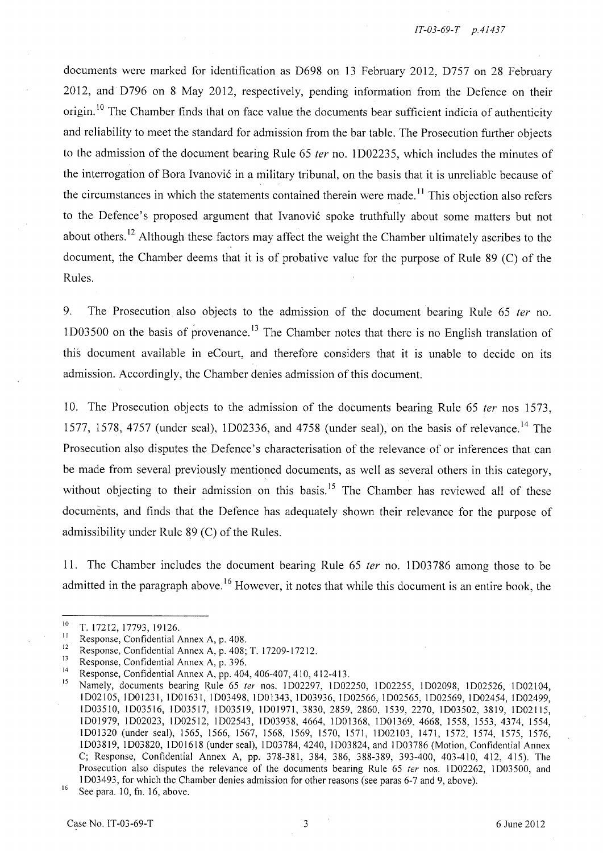documents were marked for identification as D698 on 13 February 2012, D757 on 28 February 2012, and D796 on 8 May 2012, respectively, pending information from the Defence on their origin.<sup>10</sup> The Chamber finds that on face value the documents bear sufficient indicia of authenticity and reliability to meet the standard for admission from the bar table. The Prosecution further objects to the admission of the document bearing Rule 65 *ter* no. lD02235, which includes the minutes of the interrogation of Bora Ivanović in a military tribunal, on the basis that it is umeliable because of the circumstances in which the statements contained therein were made.<sup>11</sup> This objection also refers to the Defence's proposed argument that Ivanović spoke truthfully about some matters but not about others.<sup>12</sup> Although these factors may affect the weight the Chamber ultimately ascribes to the document, the Chamber deems that it is of probative value for the purpose of Rule 89 (C) of the Rules.

9. The Prosecution also objects to the admission of the document bearing Rule 65 *ter* no.  $1D03500$  on the basis of provenance.<sup>13</sup> The Chamber notes that there is no English translation of this document available in eCourt, and therefore considers that it is unable to decide on its admission. Accordingly, the Chamber denies admission of this document.

10. The Prosecution objects to the admission of the documents bearing Rule 65 *ter* nos 1573, 1577, 1578, 4757 (under seal), lD02336, and 4758 (under seal), on the basis of relevance. 14 The Prosecution also disputes the Defence's characterisation of the relevance of or inferences that can be made from several previously mentioned documents, as well as several others in this category, without objecting to their admission on this basis.<sup>15</sup> The Chamber has reviewed all of these documents, and finds that the Defence has adequately shown their relevance for the purpose of admissibility under Rule 89 (C) of the Rules.

11. The Chamber includes the document bearing Rule 65 *ter* no. lD03786 among those to be admitted in the paragraph above.<sup>16</sup> However, it notes that while this document is an entire book, the

 $16$  See para. 10, fn. 16, above.

 $10$  T. 17212, 17793, 19126.

<sup>&</sup>lt;sup>11</sup> Response, Confidential Annex A, p. 408.

<sup>&</sup>lt;sup>12</sup>Response, Confidential Annex A, p. 408; T. 17209-17212.

<sup>&</sup>lt;sup>13</sup> Response, Confidential Annex A, p. 396.

<sup>&</sup>lt;sup>14</sup> Response, Confidential Annex A, pp. 404, 406-407, 410, 412-413.<br><sup>15</sup> Namely, decuments begins Bule 65 tau nee 1D02207, 1D02

<sup>15</sup>Namely, documents bearing Rule 65 *ter* nos. 1002297, 1002250, 1002255, 1002098, 1002526, 1002104, 1002105,1001231,1001631,1003498,1001343,1003936, 1002566, 1002565, 1002569, 1002454, 1002499, 1003510, 1003516, 1003517, 1003519, 1001971, 3830, 2859, 2860, 1539, 2270, 1003502, 3819, 1002115, 1001979, 1002023, 1002512, 1002543, 1003938, 4664, 1001368, 1001369, 4668, 1558, 1553, 4374, 1554, 1001320 (under seal), 1565, 1566, 1567, 1568, 1569, 1570, 1571, 1002103, 1471, 1572, 1574, 1575, 1576, 1003819,1003820,1001618 (under seal), 1003784,4240,1003824, and 1003786 (Motion, Confidential Annex C; Response, Confidential Annex A, pp. 378-381, 384, 386, 388-389, 393-400, 403-410, 412, 415). The Prosecution also disputes the relevance of the documents bearing Rule 65 *ter* nos. 1D02262, 1D03500, and 1003493, for which the Chamber denies admission for other reasons (see paras 6-7 and 9, above).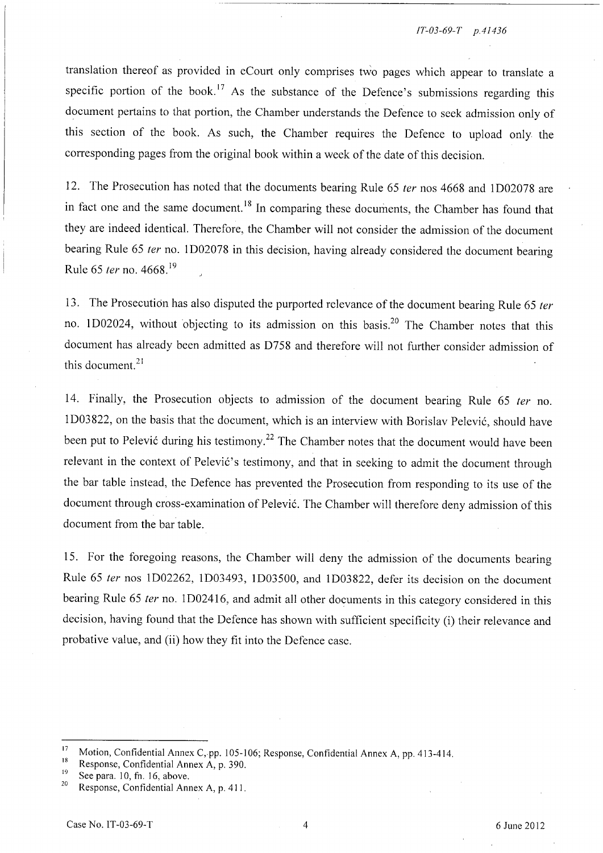*!T-03-69-T p.41436* 

translation thereof as provided in eCourt only comprises two pages which appear to translate a specific portion of the book.<sup>17</sup> As the substance of the Defence's submissions regarding this document pertains to that portion, the Chamber understands the Defence to seek admission only of this section of the book. As such, the Chamber requires the Defence to upload only the corresponding pages from the original book within a week of the date of this decision.

12. The Prosecution has noted that the documents bearing Rule 65 *ter* nos 4668 and 1 D02078 are in fact one and the same document. 18 In comparing these documents, the Chamber has found that they are indeed identical. Therefore, the Chamber will not consider the admission of the document bearing Rule 65 *ter* no. 1D02078 in this decision, having already considered the document bearing Rule 65 *ter* no. 4668. <sup>19</sup>

13. The Prosecution has also disputed the purported relevance of the document bearing Rule 65 *ter*  no. 1D02024, without objecting to its admission on this basis.<sup>20</sup> The Chamber notes that this document has already been admitted as D758 and therefore will not further consider admission of this document. $21$ 

14. Finally, the Prosecution objects to admission of the document bearing Rule 65 *ter* no. 1D03822, on the basis that the document, which is an interview with Borislav Pelević, should have been put to Pelević during his testimony.<sup>22</sup> The Chamber notes that the document would have been relevant in the context of Pelević's testimony, and that in seeking to admit the document through the bar table instead, the Defence has prevented the Prosecution from responding to its use of the document through cross-examination of Pelević. The Chamber will therefore deny admission of this document from the bar table.

15. For the foregoing reasons, the Chamber will deny the admission of the documents bearing Rule 65 *ter* nos lD02262, lD03493, lD03500, and lD03822, defer its decision on the document bearing Rule 65 *ter* no. lD02416, and admit all other documents in this category considered in this decision, having found that the Defence has shown with sufficient specificity (i) their relevance and probative value, and (ii) how they fit into the Defence case.

<sup>&</sup>lt;sup>17</sup> Motion, Confidential Annex C, pp. 105-106; Response, Confidential Annex A, pp. 413-414.

<sup>&</sup>lt;sup>18</sup> Response, Confidential Annex A, p. 390.

 $19$  See para. 10, fn. 16, above.

Response, Confidential Annex A, p. 411.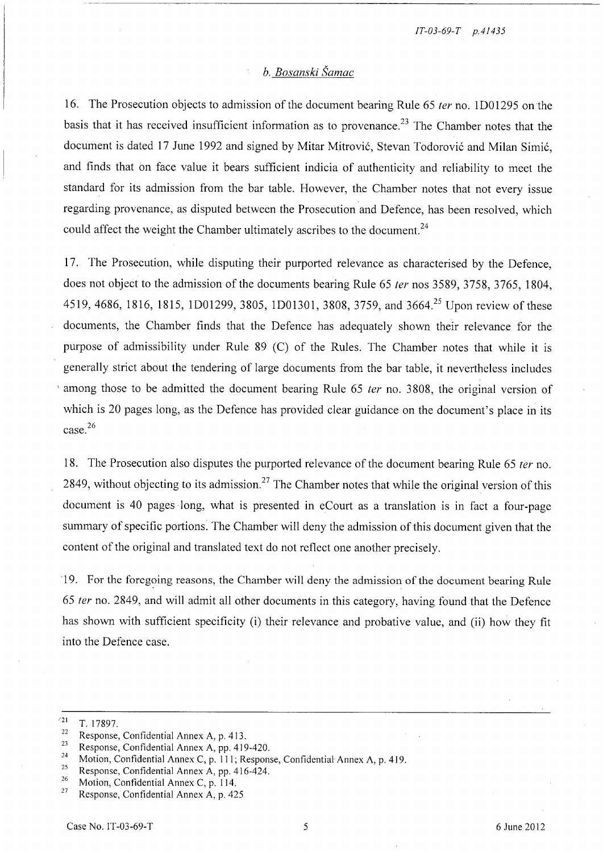*IT-03-69-T p.4J435* 

### *b. Bosanski Šamac*

16. The Prosecution objects to admission of the document bearing Rule 65 *ter* no. lD01295 onthe basis that it has received insufficient information as to provenance.<sup>23</sup> The Chamber notes that the document is dated 17 June 1992 and signed by Mitar Mitrović, Stevan Todorović and Milan Simić, and finds that on face value it bears sufficient indicia of authenticity and reliability to meet the standard for its admission from the bar table. However, the Chamber notes that not every issue regarding provenance, as disputed between the Prosecution and Defence, has been resolved, which could affect the weight the Chamber ultimately ascribes to the document.<sup>24</sup>

17. The Prosecution, while disputing their purported relevance as characterised by the Defence, does not object to the admission of the documents bearing Rule 65 *ter* nos 3589, 3758, 3765,1804, 4519, 4686, 1816, 1815, 1D01299, 3805, 1D01301, 3808, 3759, and 3664.<sup>25</sup> Upon review of these documents, the Chamber finds that the Defence has adequately shown their relevance for the purpose of admissibility under Rule 89 (C) of the Rules. The Chamber notes that while it is generally strict about the tendering of large documents from the bar table, it nevertheless includes 1 among those to be admitted the document bearing Rule 65 *ter* no. 3808, the original version of which is 20 pages long, as the Defence has provided clear guidance on the document's place in its case. 26

18. The Prosecution also disputes the purported relevance of the document bearing Rule 65 *ter* no. 2849, without objecting to its admission.<sup>27</sup> The Chamber notes that while the original version of this document is 40 pages long, what is presented in eCourt as a translation is in fact a four-page summary of specific portions. The Chamber will deny the admission of this document given that the content of the original and translated text do not reflect one another precisely.

19. For the foregoing reasons, the Chamber will deny the admission of the document bearing Rule *65 ter* no. 2849, and will admit all other documents in this category, having found that the Defence has shown with sufficient specificity (i) their relevance and probative value, and (ii) how they fit into the Defence case.

 $\frac{1}{22}$  T. 17897.

<sup>&</sup>lt;sup>22</sup> Response, Confidential Annex A, p. 413.

<sup>&</sup>lt;sup>23</sup> Response, Confidential Annex A, pp. 419-420.

<sup>&</sup>lt;sup>24</sup> Motion, Confidential Annex C, p. 111; Response, Confidential Annex A, p. 419.

<sup>&</sup>lt;sup>25</sup> Response, Confidential Annex A, pp. 416-424.<br>Motion Confidential Annex C, p. 114.

<sup>&</sup>lt;sup>26</sup> Motion, Confidential Annex C, p. 114.

<sup>27</sup>Response, Confidential Annex A, p. 425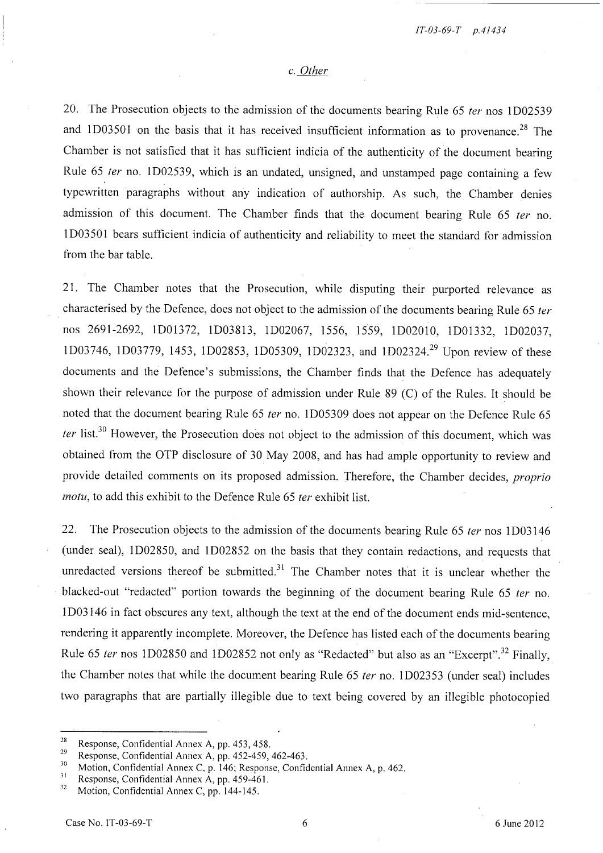*lT-03-69-T p.41434* 

#### c. *Other*

20. The Prosecution objects to the admission of the documents bearing Rule 65 *ter* nos 1 D02539 and 1D03501 on the basis that it has received insufficient information as to provenance.<sup>28</sup> The Chamber is not satisfied that it has sufficient indicia of the authenticity of the document bearing Rule 65 *ter* no. ID02539, which is an undated, unsigned, and unstamped page containing a few typewritten paragraphs without any indication of authorship. As such, the Chamber denies admission of this document. The Chamber finds that the document bearing Rule 65 *ter* no. lD03501 bears sufficient indicia of authenticity and reliability to meet the standard for admission from the bar table.

21. The Chamber notes that the Prosecution, while disputing their purported relevance as characterised by the Defence, does not object to the admission of the documents bearing Rule 65 *ter*  nos 2691-2692, 1D01372, lD03813, lD02067, 1556, 1559, lD02010, 1D01332, 1D02037, 1D03746, 1D03779, 1453, lD02853, 1D05309, 1D02323, and ID02324.29 Upon review of these documents and the Defence's submissions, the Chamber finds that the Defence has adequately shown their relevance for the purpose of admission under Rule 89 (C) of the Rules. It should be noted that the document bearing Rule 65 *ter* no. ID05309 does not appear on the Defence Rule 65 *ter* list.<sup>30</sup> However, the Prosecution does not object to the admission of this document, which was obtained from the OTP disclosure of 30 May 2008, and has had ample opportunity to review and provide detailed comments on its proposed admission. Therefore, the Chamber decides, *proprio motu,* to add this exhibit to the Defence Rule 65 *ter* exhibit list.

22. The Prosecution objects to the admission of the documents bearing Rule 65 *ter* nos 1D03146 (under seal), l D02850, and lD02852 on the basis that they contain redactions, and requests that unredacted versions thereof be submitted.<sup>31</sup> The Chamber notes that it is unclear whether the blacked-out "redacted" portion towards the beginning of the document bearing Rule 65 *ter* no. I D03I46 in fact obscures any text, although the text at the end of the document ends mid-sentence, rendering it apparently incomplete. Moreover, the Defence has listed each of the documents bearing Rule 65 *ter* nos 1D02850 and 1D02852 not only as "Redacted" but also as an "Excerpt".<sup>32</sup> Finally, the Chamber notes that while the document bearing Rule 65 *ter* no. 1D02353 (under seal) includes two paragraphs that are partially illegible due to text being covered by an illegible photocopied

<sup>&</sup>lt;sup>28</sup> Response, Confidential Annex A, pp. 453, 458.

<sup>&</sup>lt;sup>29</sup> Response, Confidential Annex A, pp. 452-459, 462-463.

 $30$  Motion, Confidential Annex C, p. 146; Response, Confidential Annex A, p. 462.

<sup>&</sup>lt;sup>31</sup> Response, Confidential Annex A, pp. 459-461.

Motion, Confidential Annex C, pp. 144-145.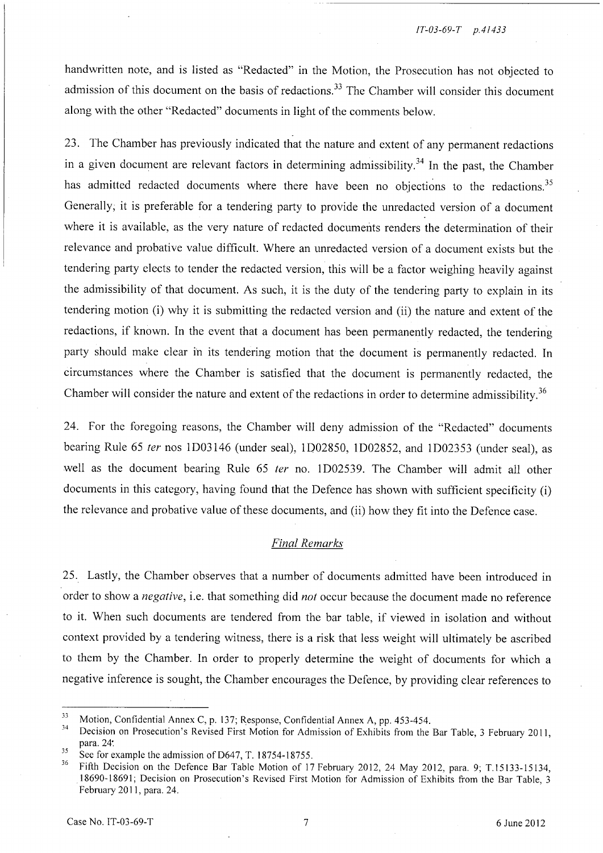handwritten note, and is listed as "Redacted" in the Motion, the Prosecution has not objected to admission of this document on the basis of redactions.<sup>33</sup> The Chamber will consider this document along with the other "Redacted" documents in light of the comments below.

23. The Chamber has previously indicated that the nature and extent of any permanent redactions in a given document are relevant factors in determining admissibility.<sup>34</sup> In the past, the Chamber has admitted redacted documents where there have been no objections to the redactions.<sup>35</sup> Generally; it is preferable for a tendering party to provide the unredacted version of a document where it is available, as the very nature of redacted documents renders the determination of their relevance and probative value difficult. Where an unredacted version of a document exists but the tendering party elects to tender the redacted version, this will be a factor weighing heavily against the admissibility of that document. As such, it is the duty of the tendering party to explain in its tendering motion (i) why it is submitting the redacted version and (ii) the nature and extent of the redactions, if known. In the event that a document has been permanently redacted, the tendering party should make clear in its tendering motion that the document is permanently redacted. In circumstances where the Chamber is satisfied that the document is permanently redacted, the Chamber will consider the nature and extent of the redactions in order to determine admissibility.<sup>36</sup>

24. For the foregoing reasons, the Chamber will deny admission of the "Redacted" documents bearing Rule 65 *ter* nos lD03146 (under seal), 1002850, lD02852, and lD02353 (under seal), as well as the document bearing Rule 65 *ter* no. lD02539. The Chamber will admit all other documents in this category, having found that the Defence has shown with sufficient specificity (i) the relevance and probative value of these documents, and (ii) how they fit into the Defence case.

#### *Final Remarks*

25. Lastly, the Chamber observes that a number of documents admitted have been introduced in order to show a *negative,* i.e. that something did *not* occur because the document made no reference to it. When such documents are tendered from the bar table, if viewed in isolation and without context provided by a tendering witness, there is a risk that less weight will ultimately be ascribed to them by the Chamber. In order to properly determine the weight of documents for which a negative inference is sought, the Chamber encourages the Defence, by providing clear references to

<sup>33</sup> Motion, Confidential Annex C, p. 137; Response, Confidential Annex A, pp. 453-454.

Decision on Prosecution's Revised First Motion for Admission of Exhibits from the Bar Table, 3 February 2011, para. 24:

<sup>&</sup>lt;sup>35</sup> See for example the admission of D647, T. 18754-18755.

<sup>36</sup> Fifth Decision on the Defence Bar Table Motion of 17 February 2012, 24 May 2012, para. 9; T.15l33-15134, 18690-18691; Decision on Prosecution's Revised First Motion for Admission of Exhibits from the Bar Table, 3 February 2011, para. 24.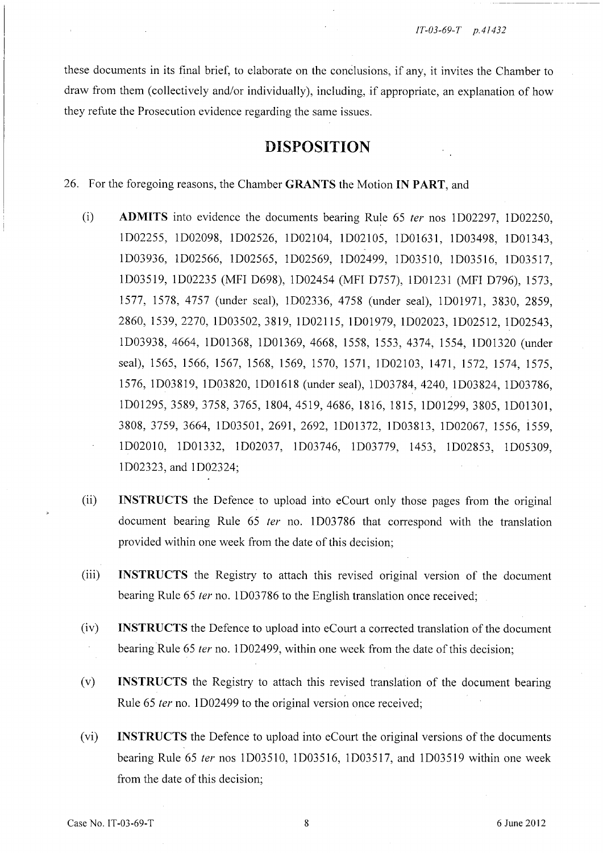these documents in its final brief, to elaborate on the conclusions, if any, it invites the Chamber to draw from them (collectively and/or individually), including, if appropriate, an explanation of how they refute the Prosecution evidence regarding the same issues.

# **DISPOSITION**

26. For the foregoing reasons, the Chamber **GRANTS** the Motion **IN PART,** and

- (i) **ADMITS** into evidence the documents bearing Rule 65 *ter* nos 1D02297, 1D02250, 1D02255, 1D02098, 1D02526, ID02104, lD02105, lD01631, lD03498, lD01343, lD03936, lD02566, 1D02565, 1D02569, lD02499, lD03510, 1D03516, lD03517, lD03519, lD02235 (MFI D698), lD02454 (MFI D757), lD01231 (MFI D796), 1573, 1577, 1578, 4757 (under seal), lD02336, 4758 (under seal), lD01971, 3830, 2859, 2860, 1539,2270, lD03502, 3819, lD02115, lD01979, lD02023, lD02512, 1D02543, lD03938, 4664, lD01368, lD01369, 4668, 155'8, 1553, 4374, 1554, lD01320 (under seal), 1565, 1566, 1567, 1568, 1569, 1570, 1571, lD02103, 1471, 1572, 1574, 1575, 1576, lD03819, 1D03820, lD01618 (under seal), 1D03784, 4240, 1D03824, 1D03786, lD01295, 3589, 3758, 3765,1804,4519,4686,1816,1815, 1D01299, 3805, lD01301, 3808, 3759, 3664, 1D03501, 2691, 2692, 1D01372, 1D03813, 1D02067, 1556, 1559, lD02010, 1D01332, lD02037, 1D03746, 1D03779, 1453, 1D02853, 1D05309, lD02323, and 1D02324;
- (ii) **INSTRUCTS** the Defence to upload into eCourt only those pages from the original document bearing Rule 65 *ter* no. 1D03786 that correspond with the translation provided within one week from the date of this decision;
- (iii) **INSTRUCTS** the Registry to attach this revised original version of the document bearing Rule 65 *ter* no. 1D03786 to the English translation once received;
- (iv) **INSTRUCTS** the Defence to upload into eCourt a corrected translation of the document bearing Rule 65 *ter* no. lD02499, within one week from the date of this decision;
- (v) **INSTRUCTS** the Registry to attach this revised translation of the document bearing Rule 65 *ter* no. lD02499 to the original version once received;
- (vi) **INSTRUCTS** the Defence to upload into eCourt the original versions of the documents bearing Rule 65 *ter* nos lD03510, lD03516, lD03517, and lD03519 within one week from the date of this decision;